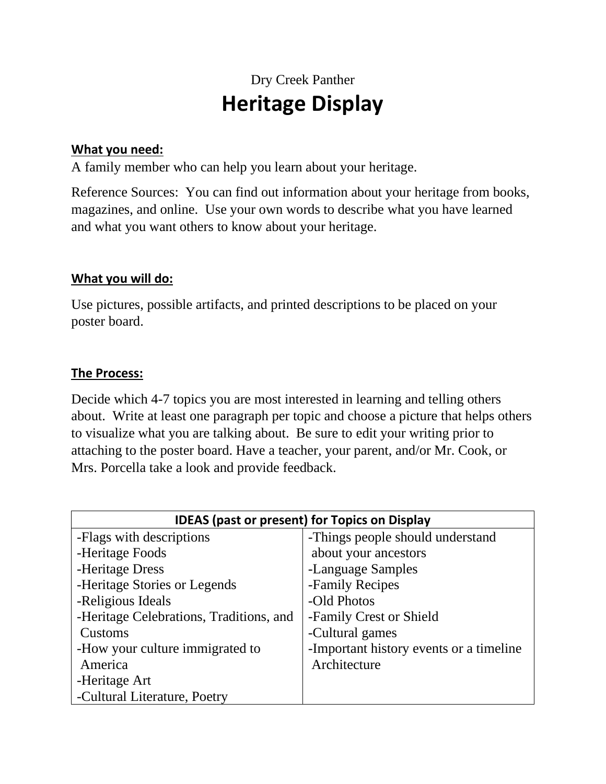## Dry Creek Panther **Heritage Display**

#### **What you need:**

A family member who can help you learn about your heritage.

Reference Sources: You can find out information about your heritage from books, magazines, and online. Use your own words to describe what you have learned and what you want others to know about your heritage.

#### **What you will do:**

Use pictures, possible artifacts, and printed descriptions to be placed on your poster board.

#### **The Process:**

Decide which 4-7 topics you are most interested in learning and telling others about. Write at least one paragraph per topic and choose a picture that helps others to visualize what you are talking about. Be sure to edit your writing prior to attaching to the poster board. Have a teacher, your parent, and/or Mr. Cook, or Mrs. Porcella take a look and provide feedback.

| <b>IDEAS (past or present) for Topics on Display</b> |                                         |
|------------------------------------------------------|-----------------------------------------|
| -Flags with descriptions                             | -Things people should understand        |
| -Heritage Foods                                      | about your ancestors                    |
| -Heritage Dress                                      | -Language Samples                       |
| -Heritage Stories or Legends                         | -Family Recipes                         |
| -Religious Ideals                                    | -Old Photos                             |
| -Heritage Celebrations, Traditions, and              | -Family Crest or Shield                 |
| Customs                                              | -Cultural games                         |
| -How your culture immigrated to                      | -Important history events or a timeline |
| America                                              | Architecture                            |
| -Heritage Art                                        |                                         |
| -Cultural Literature, Poetry                         |                                         |